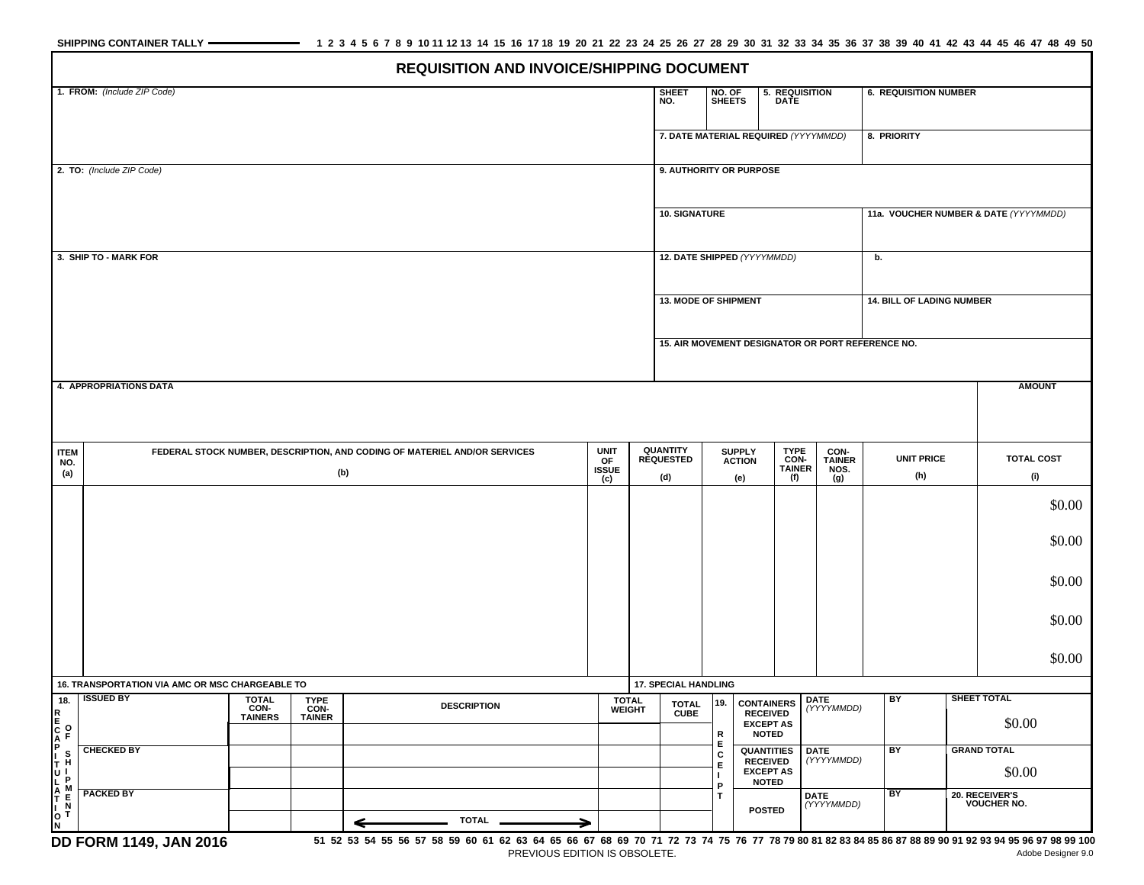|                                     |                                                                                                                              |                        |                       |                                                                                                                                                       |                           | 1. FROM: (Include ZIP Code)<br><b>SHEET</b><br>NO. OF<br>5. REQUISITION<br><b>6. REQUISITION NUMBER</b> |                                                                                        |                         |                                                     |                              |                              |     |                                       |                          |  |  |  |  |  |
|-------------------------------------|------------------------------------------------------------------------------------------------------------------------------|------------------------|-----------------------|-------------------------------------------------------------------------------------------------------------------------------------------------------|---------------------------|---------------------------------------------------------------------------------------------------------|----------------------------------------------------------------------------------------|-------------------------|-----------------------------------------------------|------------------------------|------------------------------|-----|---------------------------------------|--------------------------|--|--|--|--|--|
|                                     |                                                                                                                              |                        |                       |                                                                                                                                                       |                           |                                                                                                         | NO.                                                                                    | <b>SHEETS</b>           |                                                     | <b>DATE</b>                  |                              |     |                                       |                          |  |  |  |  |  |
|                                     |                                                                                                                              |                        |                       |                                                                                                                                                       |                           |                                                                                                         |                                                                                        |                         | 7. DATE MATERIAL REQUIRED (YYYYMMDD)<br>8. PRIORITY |                              |                              |     |                                       |                          |  |  |  |  |  |
|                                     |                                                                                                                              |                        |                       |                                                                                                                                                       |                           |                                                                                                         |                                                                                        |                         |                                                     |                              |                              |     |                                       |                          |  |  |  |  |  |
| 2. TO: (Include ZIP Code)           |                                                                                                                              |                        |                       |                                                                                                                                                       |                           |                                                                                                         |                                                                                        | 9. AUTHORITY OR PURPOSE |                                                     |                              |                              |     |                                       |                          |  |  |  |  |  |
|                                     |                                                                                                                              |                        |                       |                                                                                                                                                       |                           |                                                                                                         |                                                                                        |                         |                                                     |                              |                              |     |                                       |                          |  |  |  |  |  |
|                                     |                                                                                                                              |                        |                       |                                                                                                                                                       |                           |                                                                                                         |                                                                                        | <b>10. SIGNATURE</b>    |                                                     |                              |                              |     | 11a. VOUCHER NUMBER & DATE (YYYYMMDD) |                          |  |  |  |  |  |
|                                     |                                                                                                                              |                        |                       |                                                                                                                                                       |                           |                                                                                                         |                                                                                        |                         |                                                     |                              |                              |     |                                       |                          |  |  |  |  |  |
|                                     | 3. SHIP TO - MARK FOR                                                                                                        |                        |                       |                                                                                                                                                       |                           |                                                                                                         |                                                                                        |                         |                                                     | 12. DATE SHIPPED (YYYYMMDD)  |                              | b.  |                                       |                          |  |  |  |  |  |
|                                     |                                                                                                                              |                        |                       |                                                                                                                                                       |                           |                                                                                                         |                                                                                        |                         |                                                     |                              |                              |     |                                       |                          |  |  |  |  |  |
|                                     |                                                                                                                              |                        |                       |                                                                                                                                                       |                           |                                                                                                         |                                                                                        | 13. MODE OF SHIPMENT    |                                                     |                              |                              |     | <b>14. BILL OF LADING NUMBER</b>      |                          |  |  |  |  |  |
|                                     |                                                                                                                              |                        |                       |                                                                                                                                                       |                           |                                                                                                         |                                                                                        |                         |                                                     |                              |                              |     |                                       |                          |  |  |  |  |  |
|                                     | 15. AIR MOVEMENT DESIGNATOR OR PORT REFERENCE NO.                                                                            |                        |                       |                                                                                                                                                       |                           |                                                                                                         |                                                                                        |                         |                                                     |                              |                              |     |                                       |                          |  |  |  |  |  |
|                                     | <b>4. APPROPRIATIONS DATA</b>                                                                                                |                        |                       |                                                                                                                                                       |                           |                                                                                                         |                                                                                        |                         |                                                     |                              |                              |     |                                       | <b>AMOUNT</b>            |  |  |  |  |  |
|                                     |                                                                                                                              |                        |                       |                                                                                                                                                       |                           |                                                                                                         |                                                                                        |                         |                                                     |                              |                              |     |                                       |                          |  |  |  |  |  |
|                                     |                                                                                                                              |                        |                       |                                                                                                                                                       |                           |                                                                                                         |                                                                                        |                         |                                                     |                              |                              |     |                                       |                          |  |  |  |  |  |
| <b>ITEM</b>                         | FEDERAL STOCK NUMBER, DESCRIPTION, AND CODING OF MATERIEL AND/OR SERVICES                                                    |                        | <b>UNIT</b>           |                                                                                                                                                       | QUANTITY                  |                                                                                                         | <b>TYPE</b><br><b>SUPPLY</b>                                                           |                         | CON-                                                | <b>UNIT PRICE</b>            |                              |     |                                       |                          |  |  |  |  |  |
| NO.<br>(a)                          | (b)                                                                                                                          |                        |                       |                                                                                                                                                       | OF<br><b>ISSUE</b><br>(c) |                                                                                                         | <b>REQUESTED</b><br>(d)                                                                |                         | <b>ACTION</b><br>(e)                                | CON-<br><b>TAINER</b><br>(f) | <b>TAINER</b><br>NOS.<br>(g) | (h) |                                       | <b>TOTAL COST</b><br>(i) |  |  |  |  |  |
|                                     |                                                                                                                              |                        |                       |                                                                                                                                                       |                           |                                                                                                         |                                                                                        |                         |                                                     |                              |                              |     |                                       |                          |  |  |  |  |  |
|                                     |                                                                                                                              |                        |                       |                                                                                                                                                       |                           |                                                                                                         |                                                                                        |                         |                                                     |                              |                              |     |                                       | \$0.00                   |  |  |  |  |  |
|                                     |                                                                                                                              |                        |                       |                                                                                                                                                       |                           |                                                                                                         |                                                                                        |                         |                                                     |                              | \$0.00                       |     |                                       |                          |  |  |  |  |  |
|                                     |                                                                                                                              |                        |                       |                                                                                                                                                       |                           |                                                                                                         |                                                                                        |                         |                                                     |                              |                              |     |                                       |                          |  |  |  |  |  |
|                                     |                                                                                                                              |                        |                       |                                                                                                                                                       |                           |                                                                                                         |                                                                                        |                         |                                                     |                              |                              |     |                                       | \$0.00                   |  |  |  |  |  |
|                                     |                                                                                                                              |                        |                       |                                                                                                                                                       |                           |                                                                                                         |                                                                                        |                         |                                                     |                              |                              |     |                                       |                          |  |  |  |  |  |
|                                     |                                                                                                                              |                        |                       |                                                                                                                                                       |                           |                                                                                                         |                                                                                        |                         |                                                     |                              |                              |     |                                       | \$0.00                   |  |  |  |  |  |
|                                     |                                                                                                                              |                        |                       |                                                                                                                                                       |                           |                                                                                                         |                                                                                        |                         |                                                     |                              |                              |     |                                       | \$0.00                   |  |  |  |  |  |
|                                     |                                                                                                                              |                        |                       |                                                                                                                                                       |                           |                                                                                                         |                                                                                        |                         |                                                     |                              |                              |     |                                       |                          |  |  |  |  |  |
| 18.                                 | 16. TRANSPORTATION VIA AMC OR MSC CHARGEABLE TO<br><b>ISSUED BY</b><br><b>TOTAL</b><br><b>TYPE</b><br><b>TOTAL</b><br>WEIGHT |                        |                       |                                                                                                                                                       |                           |                                                                                                         | <b>17. SPECIAL HANDLING</b><br><b>DATE</b><br><b>CONTAINERS</b><br>19.<br><b>TOTAL</b> |                         |                                                     |                              | SHEET TOTAL<br>BY            |     |                                       |                          |  |  |  |  |  |
| R<br>E                              |                                                                                                                              | CON-<br><b>TAINERS</b> | CON-<br><b>TAINER</b> | <b>DESCRIPTION</b>                                                                                                                                    |                           |                                                                                                         | <b>CUBE</b>                                                                            |                         | <b>RECEIVED</b><br><b>EXCEPT AS</b>                 |                              | (YYYYMMDD)                   |     |                                       | \$0.00                   |  |  |  |  |  |
|                                     |                                                                                                                              |                        |                       |                                                                                                                                                       |                           |                                                                                                         |                                                                                        | R<br>Е                  | <b>NOTED</b>                                        |                              |                              |     |                                       | <b>GRAND TOTAL</b>       |  |  |  |  |  |
|                                     | <b>CHECKED BY</b>                                                                                                            |                        |                       |                                                                                                                                                       |                           |                                                                                                         |                                                                                        | C<br>Е                  | QUANTITIES<br><b>RECEIVED</b>                       |                              | <b>DATE</b><br>(YYYYMMDD)    | BY  |                                       |                          |  |  |  |  |  |
|                                     |                                                                                                                              |                        |                       |                                                                                                                                                       |                           |                                                                                                         |                                                                                        | л.<br>P                 | <b>EXCEPT AS</b><br><b>NOTED</b>                    |                              |                              | BY  |                                       | \$0.00                   |  |  |  |  |  |
| <b>CAPITULATION</b><br>CAPITULATION | <b>PACKED BY</b>                                                                                                             |                        |                       |                                                                                                                                                       |                           |                                                                                                         |                                                                                        | T                       | <b>POSTED</b>                                       |                              | <b>DATE</b><br>(YYYYMMDD)    |     | 20. RECEIVER'S<br><b>VOUCHER NO.</b>  |                          |  |  |  |  |  |
|                                     |                                                                                                                              |                        |                       | TOTAL.<br>←                                                                                                                                           | →                         |                                                                                                         |                                                                                        |                         |                                                     |                              |                              |     |                                       |                          |  |  |  |  |  |
|                                     | DD FORM 1149, JAN 2016                                                                                                       |                        |                       | 51 52 53 54 55 56 57 58 59 60 61 62 63 64 65 66 67 68 69 70 71 72 73 74 75 76 77 78 79 80 81 82 83 84 85 86 87 88 89 90 91 92 93 94 95 96 97 98 99 91 |                           |                                                                                                         |                                                                                        |                         |                                                     |                              |                              |     |                                       |                          |  |  |  |  |  |